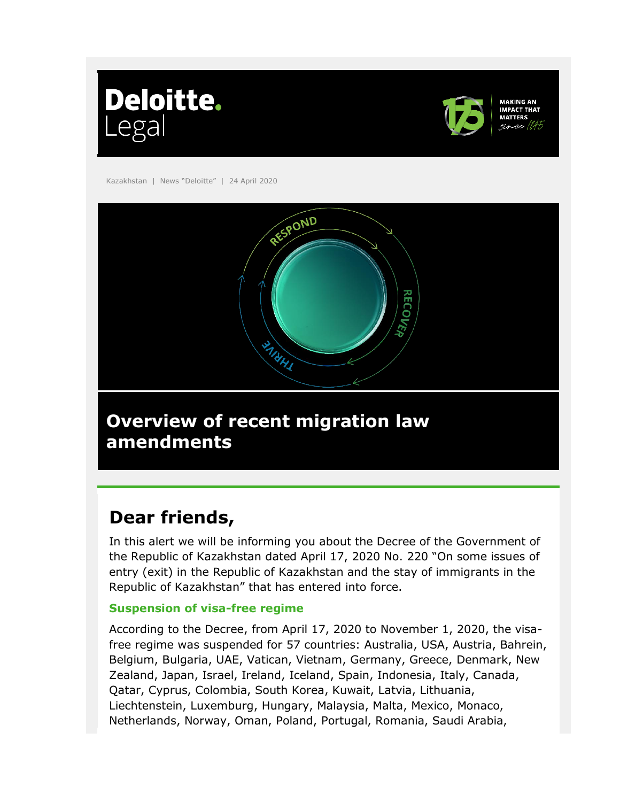



**MAKING AN** 

Kazakhstan | News "Deloitte" | 24 April 2020



# **Dear friends,**

In this alert we will be informing you about the Decree of the Government of the Republic of Kazakhstan dated April 17, 2020 No. 220 "On some issues of entry (exit) in the Republic of Kazakhstan and the stay of immigrants in the Republic of Kazakhstan" that has entered into force.

### **Suspension of visa-free regime**

According to the Decree, from April 17, 2020 to November 1, 2020, the visafree regime was suspended for 57 countries: Australia, USA, Austria, Bahrein, Belgium, Bulgaria, UAE, Vatican, Vietnam, Germany, Greece, Denmark, New Zealand, Japan, Israel, Ireland, Iceland, Spain, Indonesia, Italy, Canada, Qatar, Cyprus, Colombia, South Korea, Kuwait, Latvia, Lithuania, Liechtenstein, Luxemburg, Hungary, Malaysia, Malta, Mexico, Monaco, Netherlands, Norway, Oman, Poland, Portugal, Romania, Saudi Arabia,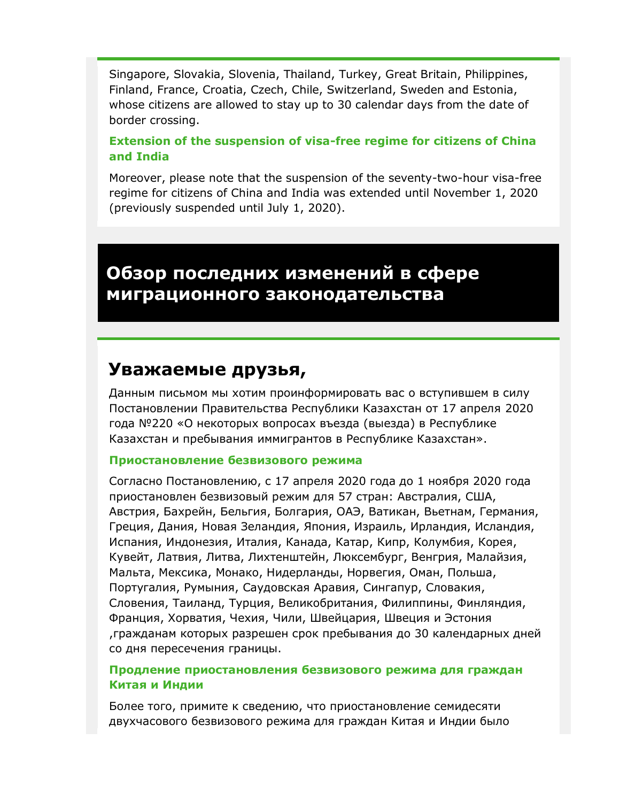Singapore, Slovakia, Slovenia, Thailand, Turkey, Great Britain, Philippines, Finland, France, Croatia, Czech, Chile, Switzerland, Sweden and Estonia, whose citizens are allowed to stay up to 30 calendar days from the date of border crossing.

### **Extension of the suspension of visa-free regime for citizens of China and India**

Moreover, please note that the suspension of the seventy-two-hour visa-free regime for citizens of China and India was extended until November 1, 2020 (previously suspended until July 1, 2020).

### **Обзор последних изменений в сфере миграционного законодательства**

### **Уважаемые друзья,**

Данным письмом мы хотим проинформировать вас о вступившем в силу Постановлении Правительства Республики Казахстан от 17 апреля 2020 года №220 «О некоторых вопросах въезда (выезда) в Республике Казахстан и пребывания иммигрантов в Республике Казахстан».

#### **Приостановление безвизового режима**

Согласно Постановлению, с 17 апреля 2020 года до 1 ноября 2020 года приостановлен безвизовый режим для 57 стран: Австралия, США, Австрия, Бахрейн, Бельгия, Болгария, ОАЭ, Ватикан, Вьетнам, Германия, Греция, Дания, Новая Зеландия, Япония, Израиль, Ирландия, Исландия, Испания, Индонезия, Италия, Канада, Катар, Кипр, Колумбия, Корея, Кувейт, Латвия, Литва, Лихтенштейн, Люксембург, Венгрия, Малайзия, Мальта, Мексика, Монако, Нидерланды, Норвегия, Оман, Польша, Португалия, Румыния, Саудовская Аравия, Сингапур, Словакия, Словения, Таиланд, Турция, Великобритания, Филиппины, Финляндия, Франция, Хорватия, Чехия, Чили, Швейцария, Швеция и Эстония ,гражданам которых разрешен срок пребывания до 30 календарных дней со дня пересечения границы.

#### **Продление приостановления безвизового режима для граждан Китая и Индии**

Более того, примите к сведению, что приостановление семидесяти двухчасового безвизового режима для граждан Китая и Индии было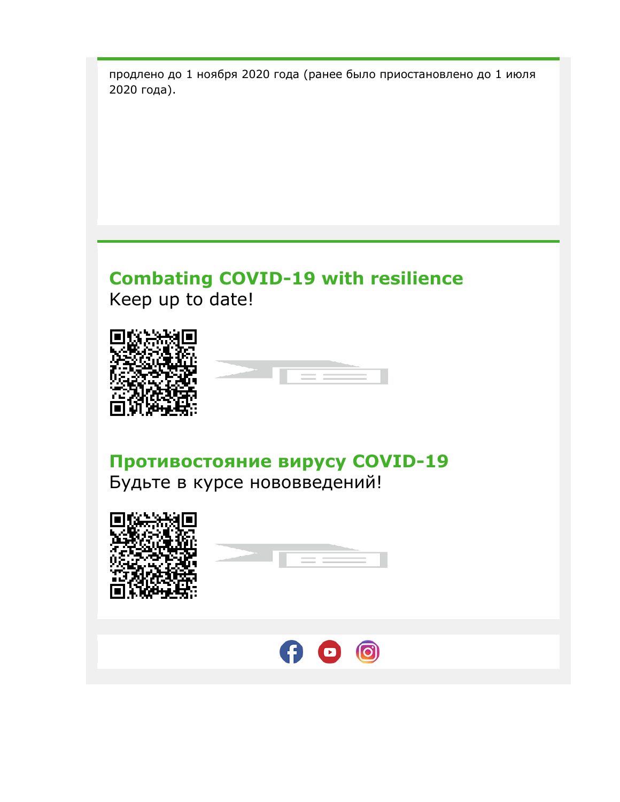продлено до 1 ноября 2020 года (ранее было приостановлено до 1 июля 2020 года).

## **Combating COVID-19 with resilience**  Keep up to date!





**Противостояние вирусу COVID-19**  Будьте в курсе нововведений!